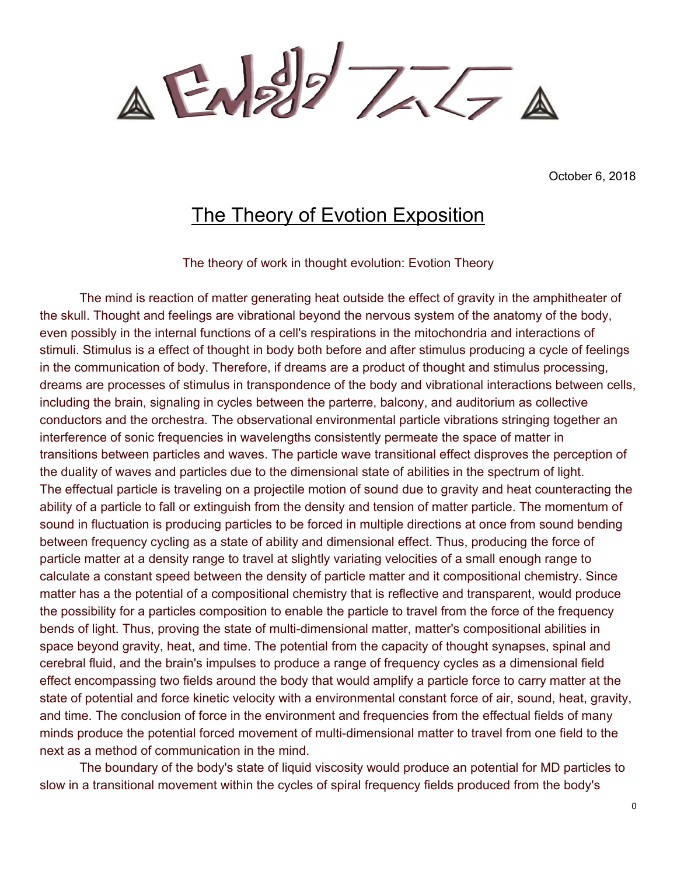$\triangle E\sqrt{27} = \triangle$ 

October 6, 2018

## The Theory of Evotion Exposition

The theory of work in thought evolution: Evotion Theory

The mind is reaction of matter generating heat outside the effect of gravity in the amphitheater of the skull. Thought and feelings are vibrational beyond the nervous system of the anatomy of the body, even possibly in the internal functions of a cell's respirations in the mitochondria and interactions of stimuli. Stimulus is a effect of thought in body both before and after stimulus producing a cycle of feelings in the communication of body. Therefore, if dreams are a product of thought and stimulus processing, dreams are processes of stimulus in transpondence of the body and vibrational interactions between cells, including the brain, signaling in cycles between the parterre, balcony, and auditorium as collective conductors and the orchestra. The observational environmental particle vibrations stringing together an interference of sonic frequencies in wavelengths consistently permeate the space of matter in transitions between particles and waves. The particle wave transitional effect disproves the perception of the duality of waves and particles due to the dimensional state of abilities in the spectrum of light. The effectual particle is traveling on a projectile motion of sound due to gravity and heat counteracting the ability of a particle to fall or extinguish from the density and tension of matter particle. The momentum of sound in fluctuation is producing particles to be forced in multiple directions at once from sound bending between frequency cycling as a state of ability and dimensional effect. Thus, producing the force of particle matter at a density range to travel at slightly variating velocities of a small enough range to calculate a constant speed between the density of particle matter and it compositional chemistry. Since matter has a the potential of a compositional chemistry that is reflective and transparent, would produce the possibility for a particles composition to enable the particle to travel from the force of the frequency bends of light. Thus, proving the state of multi-dimensional matter, matter's compositional abilities in space beyond gravity, heat, and time. The potential from the capacity of thought synapses, spinal and cerebral fluid, and the brain's impulses to produce a range of frequency cycles as a dimensional field effect encompassing two fields around the body that would amplify a particle force to carry matter at the state of potential and force kinetic velocity with a environmental constant force of air, sound, heat, gravity, and time. The conclusion of force in the environment and frequencies from the effectual fields of many minds produce the potential forced movement of multi-dimensional matter to travel from one field to the next as a method of communication in the mind.

The boundary of the body's state of liquid viscosity would produce an potential for MD particles to slow in a transitional movement within the cycles of spiral frequency fields produced from the body's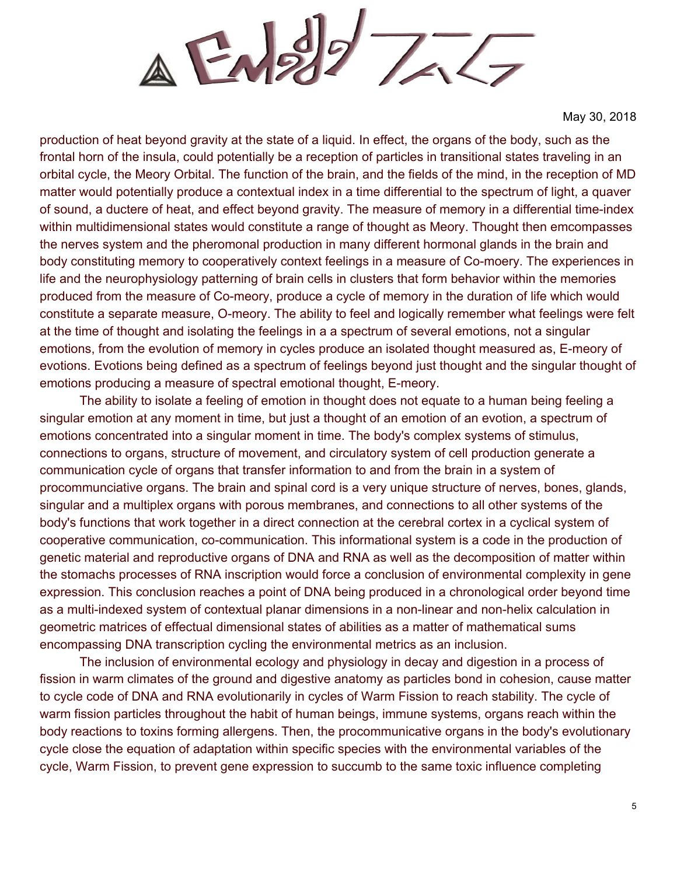$\triangle$  Engly  $777$ 

production of heat beyond gravity at the state of a liquid. In effect, the organs of the body, such as the frontal horn of the insula, could potentially be a reception of particles in transitional states traveling in an orbital cycle, the Meory Orbital. The function of the brain, and the fields of the mind, in the reception of MD matter would potentially produce a contextual index in a time differential to the spectrum of light, a quaver of sound, a ductere of heat, and effect beyond gravity. The measure of memory in a differential time-index within multidimensional states would constitute a range of thought as Meory. Thought then emcompasses the nerves system and the pheromonal production in many different hormonal glands in the brain and body constituting memory to cooperatively context feelings in a measure of Co-moery. The experiences in life and the neurophysiology patterning of brain cells in clusters that form behavior within the memories produced from the measure of Co-meory, produce a cycle of memory in the duration of life which would constitute a separate measure, O-meory. The ability to feel and logically remember what feelings were felt at the time of thought and isolating the feelings in a a spectrum of several emotions, not a singular emotions, from the evolution of memory in cycles produce an isolated thought measured as, E-meory of evotions. Evotions being defined as a spectrum of feelings beyond just thought and the singular thought of emotions producing a measure of spectral emotional thought, E-meory.

The ability to isolate a feeling of emotion in thought does not equate to a human being feeling a singular emotion at any moment in time, but just a thought of an emotion of an evotion, a spectrum of emotions concentrated into a singular moment in time. The body's complex systems of stimulus, connections to organs, structure of movement, and circulatory system of cell production generate a communication cycle of organs that transfer information to and from the brain in a system of procommunciative organs. The brain and spinal cord is a very unique structure of nerves, bones, glands, singular and a multiplex organs with porous membranes, and connections to all other systems of the body's functions that work together in a direct connection at the cerebral cortex in a cyclical system of cooperative communication, co-communication. This informational system is a code in the production of genetic material and reproductive organs of DNA and RNA as well as the decomposition of matter within the stomachs processes of RNA inscription would force a conclusion of environmental complexity in gene expression. This conclusion reaches a point of DNA being produced in a chronological order beyond time as a multi-indexed system of contextual planar dimensions in a non-linear and non-helix calculation in geometric matrices of effectual dimensional states of abilities as a matter of mathematical sums encompassing DNA transcription cycling the environmental metrics as an inclusion.

The inclusion of environmental ecology and physiology in decay and digestion in a process of fission in warm climates of the ground and digestive anatomy as particles bond in cohesion, cause matter to cycle code of DNA and RNA evolutionarily in cycles of Warm Fission to reach stability. The cycle of warm fission particles throughout the habit of human beings, immune systems, organs reach within the body reactions to toxins forming allergens. Then, the procommunicative organs in the body's evolutionary cycle close the equation of adaptation within specific species with the environmental variables of the cycle, Warm Fission, to prevent gene expression to succumb to the same toxic influence completing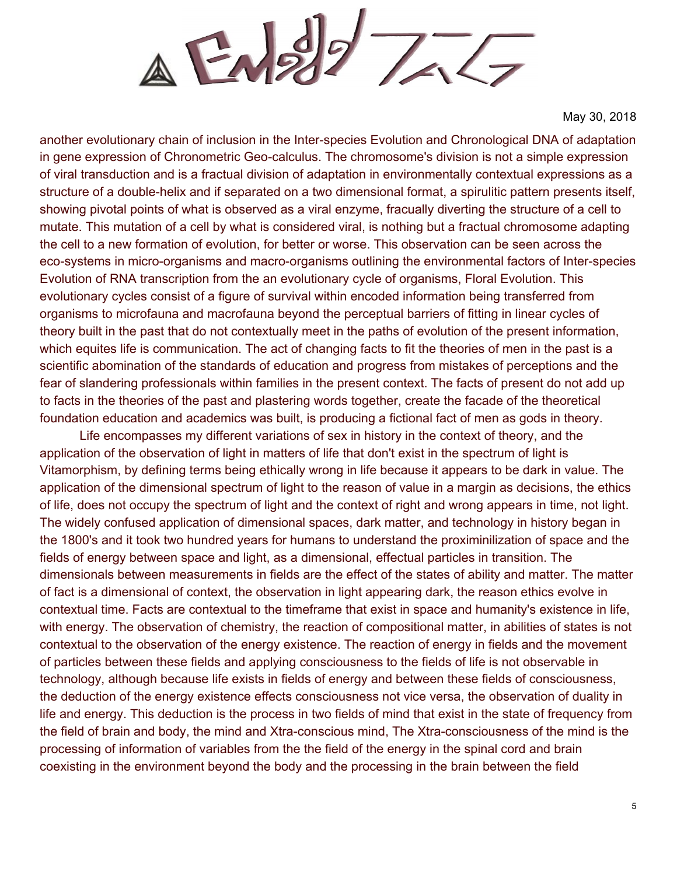$\triangle$  EN2/2  $775$ 

another evolutionary chain of inclusion in the Inter-species Evolution and Chronological DNA of adaptation in gene expression of Chronometric Geo-calculus. The chromosome's division is not a simple expression of viral transduction and is a fractual division of adaptation in environmentally contextual expressions as a structure of a double-helix and if separated on a two dimensional format, a spirulitic pattern presents itself, showing pivotal points of what is observed as a viral enzyme, fracually diverting the structure of a cell to mutate. This mutation of a cell by what is considered viral, is nothing but a fractual chromosome adapting the cell to a new formation of evolution, for better or worse. This observation can be seen across the eco-systems in micro-organisms and macro-organisms outlining the environmental factors of Inter-species Evolution of RNA transcription from the an evolutionary cycle of organisms, Floral Evolution. This evolutionary cycles consist of a figure of survival within encoded information being transferred from organisms to microfauna and macrofauna beyond the perceptual barriers of fitting in linear cycles of theory built in the past that do not contextually meet in the paths of evolution of the present information, which equites life is communication. The act of changing facts to fit the theories of men in the past is a scientific abomination of the standards of education and progress from mistakes of perceptions and the fear of slandering professionals within families in the present context. The facts of present do not add up to facts in the theories of the past and plastering words together, create the facade of the theoretical foundation education and academics was built, is producing a fictional fact of men as gods in theory.

Life encompasses my different variations of sex in history in the context of theory, and the application of the observation of light in matters of life that don't exist in the spectrum of light is Vitamorphism, by defining terms being ethically wrong in life because it appears to be dark in value. The application of the dimensional spectrum of light to the reason of value in a margin as decisions, the ethics of life, does not occupy the spectrum of light and the context of right and wrong appears in time, not light. The widely confused application of dimensional spaces, dark matter, and technology in history began in the 1800's and it took two hundred years for humans to understand the proximinilization of space and the fields of energy between space and light, as a dimensional, effectual particles in transition. The dimensionals between measurements in fields are the effect of the states of ability and matter. The matter of fact is a dimensional of context, the observation in light appearing dark, the reason ethics evolve in contextual time. Facts are contextual to the timeframe that exist in space and humanity's existence in life, with energy. The observation of chemistry, the reaction of compositional matter, in abilities of states is not contextual to the observation of the energy existence. The reaction of energy in fields and the movement of particles between these fields and applying consciousness to the fields of life is not observable in technology, although because life exists in fields of energy and between these fields of consciousness, the deduction of the energy existence effects consciousness not vice versa, the observation of duality in life and energy. This deduction is the process in two fields of mind that exist in the state of frequency from the field of brain and body, the mind and Xtra-conscious mind, The Xtra-consciousness of the mind is the processing of information of variables from the the field of the energy in the spinal cord and brain coexisting in the environment beyond the body and the processing in the brain between the field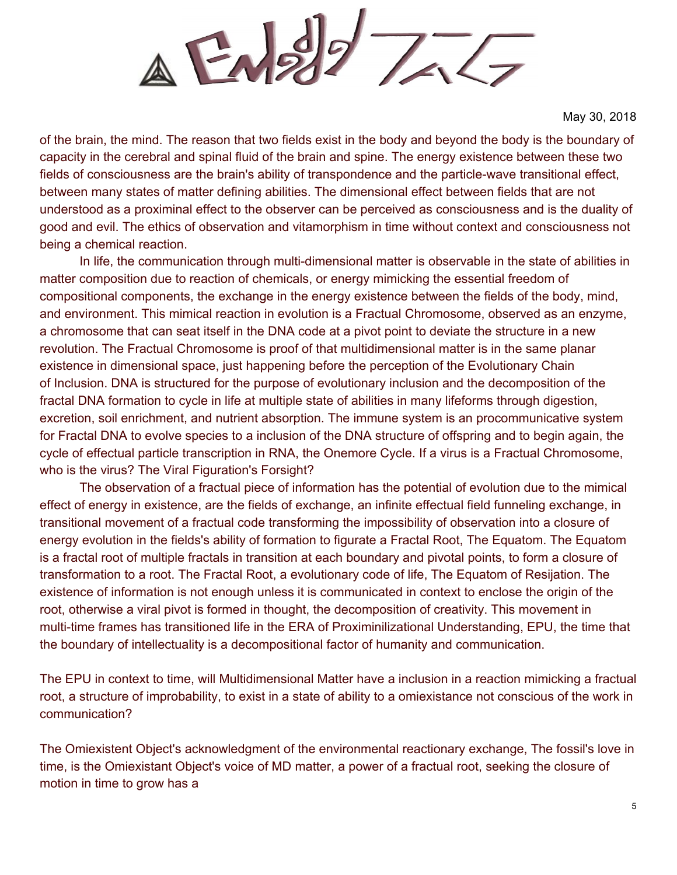$\triangle$  EN22  $777$ 

of the brain, the mind. The reason that two fields exist in the body and beyond the body is the boundary of capacity in the cerebral and spinal fluid of the brain and spine. The energy existence between these two fields of consciousness are the brain's ability of transpondence and the particle-wave transitional effect, between many states of matter defining abilities. The dimensional effect between fields that are not understood as a proximinal effect to the observer can be perceived as consciousness and is the duality of good and evil. The ethics of observation and vitamorphism in time without context and consciousness not being a chemical reaction.

In life, the communication through multi-dimensional matter is observable in the state of abilities in matter composition due to reaction of chemicals, or energy mimicking the essential freedom of compositional components, the exchange in the energy existence between the fields of the body, mind, and environment. This mimical reaction in evolution is a Fractual Chromosome, observed as an enzyme, a chromosome that can seat itself in the DNA code at a pivot point to deviate the structure in a new revolution. The Fractual Chromosome is proof of that multidimensional matter is in the same planar existence in dimensional space, just happening before the perception of the Evolutionary Chain of Inclusion. DNA is structured for the purpose of evolutionary inclusion and the decomposition of the fractal DNA formation to cycle in life at multiple state of abilities in many lifeforms through digestion, excretion, soil enrichment, and nutrient absorption. The immune system is an procommunicative system for Fractal DNA to evolve species to a inclusion of the DNA structure of offspring and to begin again, the cycle of effectual particle transcription in RNA, the Onemore Cycle. If a virus is a Fractual Chromosome, who is the virus? The Viral Figuration's Forsight?

The observation of a fractual piece of information has the potential of evolution due to the mimical effect of energy in existence, are the fields of exchange, an infinite effectual field funneling exchange, in transitional movement of a fractual code transforming the impossibility of observation into a closure of energy evolution in the fields's ability of formation to figurate a Fractal Root, The Equatom. The Equatom is a fractal root of multiple fractals in transition at each boundary and pivotal points, to form a closure of transformation to a root. The Fractal Root, a evolutionary code of life, The Equatom of Resijation. The existence of information is not enough unless it is communicated in context to enclose the origin of the root, otherwise a viral pivot is formed in thought, the decomposition of creativity. This movement in multi-time frames has transitioned life in the ERA of Proximinilizational Understanding, EPU, the time that the boundary of intellectuality is a decompositional factor of humanity and communication.

The EPU in context to time, will Multidimensional Matter have a inclusion in a reaction mimicking a fractual root, a structure of improbability, to exist in a state of ability to a omiexistance not conscious of the work in communication?

The Omiexistent Object's acknowledgment of the environmental reactionary exchange, The fossil's love in time, is the Omiexistant Object's voice of MD matter, a power of a fractual root, seeking the closure of motion in time to grow has a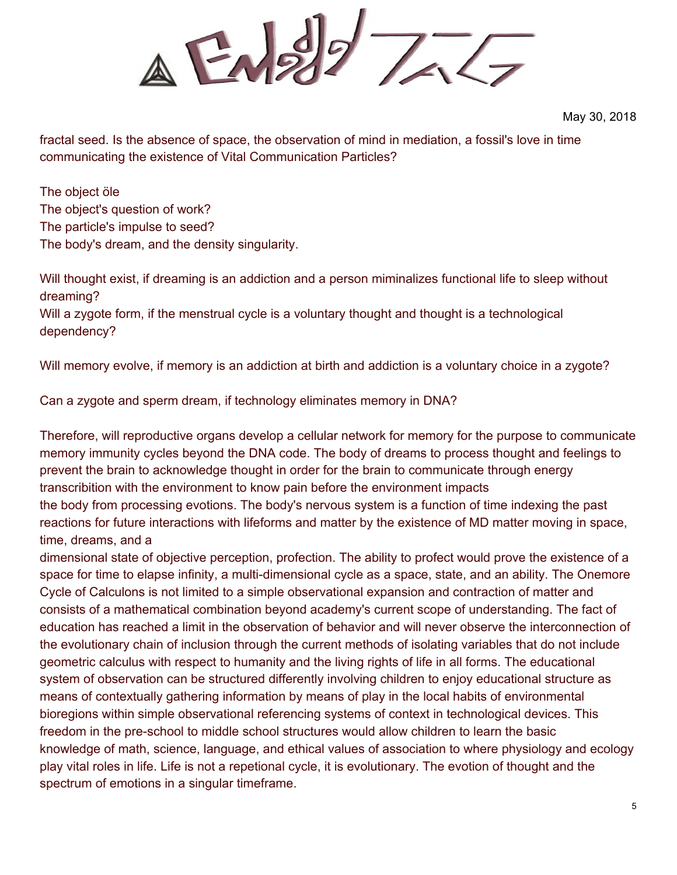$\triangle$  EN22  $777$ 

fractal seed. Is the absence of space, the observation of mind in mediation, a fossil's love in time communicating the existence of Vital Communication Particles?

The object öle The object's question of work? The particle's impulse to seed? The body's dream, and the density singularity.

Will thought exist, if dreaming is an addiction and a person miminalizes functional life to sleep without dreaming? Will a zygote form, if the menstrual cycle is a voluntary thought and thought is a technological

dependency?

Will memory evolve, if memory is an addiction at birth and addiction is a voluntary choice in a zygote?

Can a zygote and sperm dream, if technology eliminates memory in DNA?

Therefore, will reproductive organs develop a cellular network for memory for the purpose to communicate memory immunity cycles beyond the DNA code. The body of dreams to process thought and feelings to prevent the brain to acknowledge thought in order for the brain to communicate through energy transcribition with the environment to know pain before the environment impacts the body from processing evotions. The body's nervous system is a function of time indexing the past reactions for future interactions with lifeforms and matter by the existence of MD matter moving in space, time, dreams, and a

dimensional state of objective perception, profection. The ability to profect would prove the existence of a space for time to elapse infinity, a multi-dimensional cycle as a space, state, and an ability. The Onemore Cycle of Calculons is not limited to a simple observational expansion and contraction of matter and consists of a mathematical combination beyond academy's current scope of understanding. The fact of education has reached a limit in the observation of behavior and will never observe the interconnection of the evolutionary chain of inclusion through the current methods of isolating variables that do not include geometric calculus with respect to humanity and the living rights of life in all forms. The educational system of observation can be structured differently involving children to enjoy educational structure as means of contextually gathering information by means of play in the local habits of environmental bioregions within simple observational referencing systems of context in technological devices. This freedom in the pre-school to middle school structures would allow children to learn the basic knowledge of math, science, language, and ethical values of association to where physiology and ecology play vital roles in life. Life is not a repetional cycle, it is evolutionary. The evotion of thought and the spectrum of emotions in a singular timeframe.